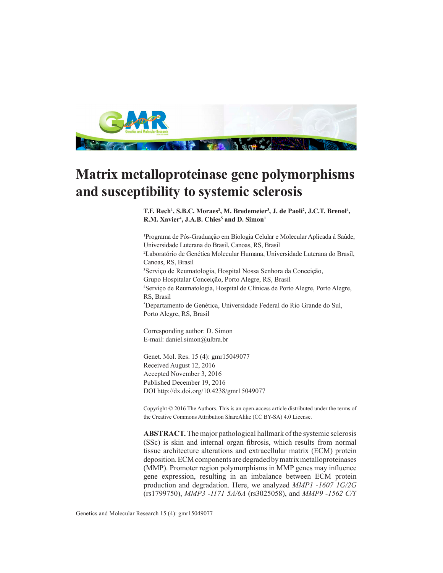

## **Matrix metalloproteinase gene polymorphisms and susceptibility to systemic sclerosis**

T.F. Rech<sup>1</sup>, S.B.C. Moraes<sup>2</sup>, M. Bredemeier<sup>3</sup>, J. de Paoli<sup>2</sup>, J.C.T. Brenol<sup>4</sup>,  $R.M.$  Xavier<sup>4</sup>, J.A.B. Chies<sup>5</sup> and D. Simon<sup>1</sup>

1 Programa de Pós-Graduação em Biologia Celular e Molecular Aplicada à Saúde, Universidade Luterana do Brasil, Canoas, RS, Brasil 2 Laboratório de Genética Molecular Humana, Universidade Luterana do Brasil, Canoas, RS, Brasil 3 Serviço de Reumatologia, Hospital Nossa Senhora da Conceição, Grupo Hospitalar Conceição, Porto Alegre, RS, Brasil 4 Serviço de Reumatologia, Hospital de Clínicas de Porto Alegre, Porto Alegre, RS, Brasil 5 Departamento de Genética, Universidade Federal do Rio Grande do Sul, Porto Alegre, RS, Brasil

Corresponding author: D. Simon E-mail: daniel.simon@ulbra.br

Genet. Mol. Res. 15 (4): gmr15049077 Received August 12, 2016 Accepted November 3, 2016 Published December 19, 2016 DOI http://dx.doi.org/10.4238/gmr15049077

Copyright © 2016 The Authors. This is an open-access article distributed under the terms of the Creative Commons Attribution ShareAlike (CC BY-SA) 4.0 License.

**ABSTRACT.** The major pathological hallmark of the systemic sclerosis (SSc) is skin and internal organ fibrosis, which results from normal tissue architecture alterations and extracellular matrix (ECM) protein deposition. ECM components are degraded by matrix metalloproteinases (MMP). Promoter region polymorphisms in MMP genes may influence gene expression, resulting in an imbalance between ECM protein production and degradation. Here, we analyzed *MMP1 -1607 1G/2G* (rs1799750), *MMP3 -1171 5A/6A* (rs3025058), and *MMP9 -1562 C/T*

Genetics and Molecular Research 15 (4): gmr15049077